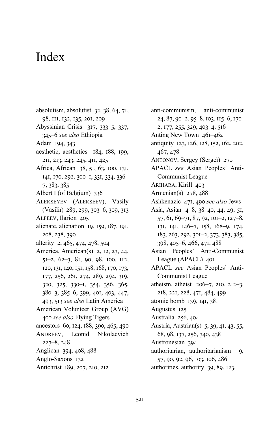- absolutism, absolutist 32, 38, 64, 71, 98, III, 132, 135, 201, 209 Abyssinian Crisis 317, 333-5, 337,
- 345–6 see also Ethiopia
- Adam 194, 343
- aesthetic, aesthetics 184, 188, 199, 2II, 2I3, 243, 245, 4II, 425
- Africa, African 38, 51, 63, 100, 131, I4I, 170, 292, 300-I, 33I, 334, 336- $7, 383, 385$
- Albert I (of Belgium) 336
- ALEKSEYEV (ALEKSEEV), Vasily (Vasiliĭ) 289, 299, 303-6, 309, 313
- ALFEEV, Ilarion 405
- alienate, alienation 19, 159, 187, 191, 208, 238, 390
- alterity  $2, 465, 474, 478, 504$
- America, American(s) 2, 12, 23, 44,  $5I-2, 62-3, 8I, 90, 98, 100, 112,$ 120, 131, 140, 151, 158, 168, 170, 173, 177, 256, 261, 274, 289, 294, 319, 320, 325, 330-I, 354, 356, 365, 380-3, 385-6, 399, 401, 403, 447, 493, 513 see also Latin America
- American Volunteer Group (AVG) 400 see also Flying Tigers
- ancestors 60, 124, 188, 390, 465, 490 ANDREEV, Leonid Nikolaevich
- $227 8, 248$
- Anglican 394, 408, 488
- Anglo-Saxons 132
- Antichrist 189, 207, 210, 212
- anti-communism, anti-communist 24, 87, 90-2, 95-8, 103, 115-6, 170- $2, 177, 255, 329, 403–4, 516$
- Anting New Town  $46I-462$
- antiquity 123, 126, 128, 152, 162, 202, 467, 478
- ANTONOV, Sergey (Sergeĭ) 270
- APACL *see* Asian Peoples' Anti-Communist League
- ARIHARA, Kirill 403
- Armenian(s)  $278,488$
- Ashkenazic 471, 490 see also Jews
- Asia, Asian 4-8, 38-40, 44, 49, 51,  $57, 61, 69 - 71, 87, 92, 101 - 2, 127 - 8,$ 131, 141, 146-7, 158, 168-9, 174, 183, 263, 292, 301-2, 373, 383, 385,  $398, 405-6, 466, 471, 488$
- Asian Peoples' Anti-Communist League (APACL) 40I
- APACL *see* Asian Peoples' Anti-Communist League
- atheism, atheist  $206-7$ , 210, 212-3, 218, 221, 228, 471, 484, 499
- atomic bomb 139, 141, 381
- Augustus 125
- Australia 256, 404
- Austria, Austrian(s) 5, 39, 41, 43, 55, 68, 98, 137, 256, 340, 438
- Austronesian 394
- authoritarian, authoritarianism 9, 57, 90, 92, 96, 103, 106, 486 authorities, authority 39, 89, 123,
- $52I$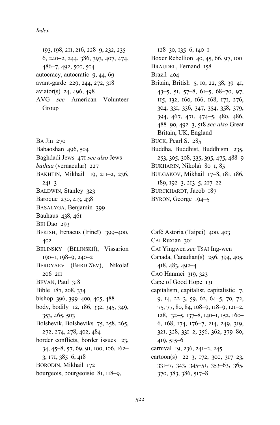193, 198, 211, 216, 228–9, 232, 235–  $6, 240-2, 244, 386, 393, 407, 474,$  $486 - 7, 492, 500, 504$ autocracy, autocratic  $9, 44, 69$ avant-garde 229, 244, 272, 318 aviator(s)  $24, 496, 498$ AVG *see* American Volunteer Group

 $BA$  Jin  $270$ Babaoshan 496, 504 Baghdadi Jews 471 see also Jews *baihua* (vernacular) 227 BAKHTIN, Mikhail 19, 211-2, 236,  $24I-3$ BALDWIN, Stanley 323 Baroque 230, 413, 438 BASALYGA, Benjamin 399 Bauhaus 438, 461 BEI Dao 293 BEKISH, Irenaeus (Irineĭ) 399-400, 402 BELINSKY (BELINSKIĬ), Vissarion 190-1, 198-9, 240-2 BERDYAEV (BERDI͡AEV), Nikolaĭ  $206 - 211$ BEVAN, Paul 318 Bible 187, 208, 334 bishop  $396, 399 - 400, 405, 488$ body, bodily 12, 186, 332, 345, 349, 353, 465, 503 Bolshevik, Bolsheviks 75, 258, 265, 272, 274, 278, 402, 484 border conflicts, border issues 23, 34, 45–8, 57, 69, 91, 100, 106, 162–  $3, 171, 385 - 6, 418$ BORODIN, Mikhail 172 bourgeois, bourgeoisie 81, 118-9,

 $128-30, 135-6, 140-1$ Boxer Rebellion  $40, 45, 66, 97, 100$ BRAUDEL, Fernand 158 Brazil 404 Britain, British 5, 10, 22, 38, 39-41,  $43-5, 51, 57-8, 61-5, 68-70, 97,$ II5, 132, 160, 166, 168, 171, 276, 304, 331, 336, 347, 354, 358, 379, 394, 467, 471, 474-5, 480, 486, 488-90, 492-3, 518 see also Great Britain, UK, England BUCK, Pearl S. 285 Buddha, Buddhist, Buddhism 235, 253, 305, 308, 335, 395, 475, 488-9 BUKHARIN, Nikolaĭ 80-I, 85 BULGAKOV, Mikhail 17-8, 181, 186,  $189, 192-3, 213-5, 217-22$ BURCKHARDT, Jacob 187 BYRON, George 194-5

Café Astoria (Taipei) 400, 403 CAI Ruxian 301 CAI Yingwen *see* TSAI Ing-wen Canada, Canadian(s) 256, 394, 405,  $418, 483, 492 - 4$ CAO Hanmei 319, 323 Cape of Good Hope 131 capitalism, capitalist, capitalistic  $7$ , 9, 14, 22-3, 59, 62, 64-5, 70, 72, 75, 77, 80, 84, 108–9, 118–9, 121–2, 128, 132–5, 137–8, 140–1, 152, 160– 6, 168, 174, 176-7, 214, 249, 319, 321, 328, 331-2, 356, 362, 379-80,  $419, 515 - 6$ carnival 19, 236, 241–2, 245 cartoon(s)  $22-3$ , 172, 300, 317-23, 33I-7, 343, 345-51, 353-63, 365,  $370, 383, 386, 517 - 8$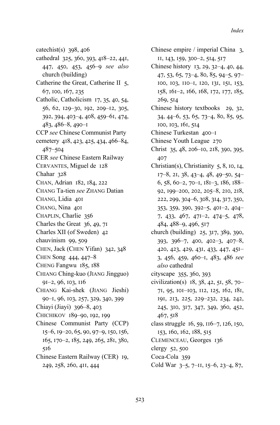catechist(s)  $398, 406$ cathedral 325, 360, 393, 418-22, 441, 447, 450, 453, 456–9 see also church (building) Catherine the Great, Catherine II  $5$ , 67, 100, 167, 235 Catholic, Catholicism  $17, 35, 40, 54,$ 56, 62, 129-30, 192, 209-12, 305, 392, 394, 403–4, 408, 459–61, 474,  $483, 486-8, 490-1$ CCP *see* Chinese Communist Party cemetery 418, 423, 425, 434, 466–84,  $487 - 504$ CER *see* Chinese Eastern Railway CERVANTES, Miguel de 128 Chahar  $328$ CHAN, Adrian 182, 184, 222 CHANG Ta-tien *see* ZHANG Datian CHANG, Lidia 40I CHANG, Nina 40I CHAPLIN, Charlie 356 Charles the Great  $36, 49, 7I$ Charles XII (of Sweden) 42 chauvinism 99, 509 CHEN, Jack (CHEN Yifan) 342, 348 CHEN Song  $444, 447 - 8$ CHENG Fangwu 185, 188 CHIANG Ching-kuo (JIANG Jingguo)  $9I-2, 96, 103, 116$ CHIANG Kai-shek (JIANG Jieshi) 90-I, 96, 103, 257, 329, 340, 399 Chiayi (Jiayi) 396-8, 403 CHICHIKOV 189-90, 192, 199 Chinese Communist Party (CCP) 15-6, 19-20, 65, 90, 97-9, 150, 156, 165, 170-2, 185, 249, 265, 281, 380, 516 Chinese Eastern Railway (CER) 19, 249, 258, 260, 4II, 444

- Chinese empire / imperial China  $\alpha$ , II, I43, 159, 300-2, 514, 517
- Chinese history 13, 29, 32–4, 40, 44,  $47, 53, 65, 73-4, 80, 85, 94-5, 97-$ I00, I03, II0-I, I20, I3I, I5I, I53, 158, 161-2, 166, 168, 172, 177, 185, 269, 514
- Chinese history textbooks 29, 32,  $34, 44-6, 53, 65, 73-4, 80, 85, 95,$ 100, 103, 161, 514
- Chinese Turkestan 400-I
- Chinese Youth League 270
- Christ 35, 48, 206-10, 218, 390, 395, 407
- Christian(s), Christianity  $5, 8$ , 10, 14,  $17-8$ , 2I, 38, 43-4, 48, 49-50, 54- $6, 58, 60-2, 70-1, 181-3, 186, 188-$ 92, 199-200, 202, 205-8, 210, 218, 222, 299, 304–6, 308, 314, 317, 350, 353, 359, 390, 392-5, 401-2, 404- $7, 433, 467, 471-2, 474-5, 478,$ 484, 488-9, 496, 517
- church (building) 25, 317, 389, 390,  $393, 396-7, 400, 402-3, 407-8,$ 420, 423, 429, 431, 433, 447, 451-3, 456, 459, 460–1, 483, 486 see *also* cathedral
- cityscape  $355, 360, 393$
- civilization(s)  $18, 38, 42, 51, 58, 70-$ 71, 95, 101-103, 112, 125, 162, 181, 191, 213, 225, 229-232, 234, 242, 245, 310, 317, 347, 349, 360, 452,  $467, 518$
- class struggle  $16, 59, 116–7, 126, 150,$ 153, 160, 162, 188, 515
- CLEMENCEAU, Georges 136
- clergy  $52, 500$
- Coca-Cola 359
- Cold War 3-5, 7-11, 15-6, 23-4, 87,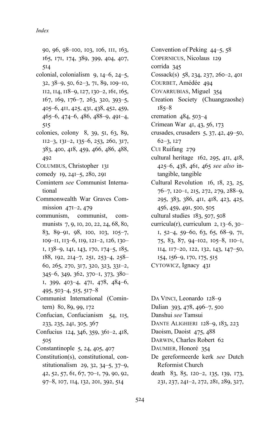90, 96, 98-100, 103, 106, 111, 163, 165, 171, 174, 389, 399, 404, 407,  $5I4$ 

- colonial, colonialism  $9, 14-6, 24-5,$ 32, 38-9, 50, 62-3, 71, 89, 109-10, II2, II4, II8-9, 127, 130-2, 161, 165,  $167, 169, 176-7, 263, 320, 393-5,$ 405–6, 411, 425, 431, 438, 452, 459,  $465-6$ ,  $474-6$ ,  $486$ ,  $488-9$ ,  $491-4$ ,  $515$
- colonies, colony 8, 39, 51, 63, 89,  $112-3$ ,  $131-2$ ,  $135-6$ ,  $253$ ,  $260$ ,  $317$ , 383, 400, 418, 459, 466, 486, 488, 492
- COLUMBUS, Christopher 131
- comedy 19, 241–5, 280, 291
- Comintern *see* Communist International
- Commonwealth War Graves Commission  $47I-2$ ,  $479$
- communism, communist, communists 7, 9, 10, 20, 22, 24, 68, 80, 83, 89-91, 98, 100, 103, 105-7, 109–II, 113–6, 119, 121–2, 126, 130– I, 138-9, 141, 143, 170, 174-5, 185, 188, 192, 214-7, 251, 253-4, 258-60, 265, 270, 317, 320, 323, 331-2,  $345-6, 349, 362, 370-1, 373, 380-$ I, 399, 403-4, 471, 478, 484-6,  $495, 503-4, 515, 517-8$
- Communist International (Comintern) 80, 89, 99, 172
- Confucian, Confucianism 54, 115, 233, 235, 241, 305, 367
- Confucius  $124, 346, 359, 361-2, 418,$ 505
- Constantinople  $5, 24, 405, 407$
- Constitution(s), constitutional, constitutionalism  $29, 32, 34-5, 37-9,$ 42, 52, 57, 61, 67, 70-1, 79, 90, 92, 97-8, 107, 114, 132, 201, 392, 514

Convention of Peking  $44-5$ ,  $58$ COPERNICUS, Nicolaus 129 corrida 345 Cossack(s)  $58, 234, 237, 260-2, 40I$ COURBET, Amédée 494 COVARRUBIAS, Miguel 354 Creation Society (Chuangzaoshe)  $185 - 8$ cremation  $484, 503-4$ Crimean War 41, 43, 56, 173 crusades, crusaders  $5, 37, 42, 49-50$ ,  $62-3, 127$ CUI Ruifang 279 cultural heritage  $162$ ,  $295$ ,  $411$ ,  $418$ , 425–6, 438, 461, 465 see also intangible, tangible Cultural Revolution 16,  $18$ ,  $23$ ,  $25$ , 76–7, 120–1, 215, 272, 279, 288–9, 295, 383, 386, 411, 418, 423, 425, 456, 459, 491, 500, 505 cultural studies  $183, 507, 508$ curricula(r), curriculum  $2$ ,  $13-6$ ,  $30-$ I,  $52-4$ ,  $59-60$ , 63, 65, 68-9, 7I,  $75, 83, 87, 94-102, 105-8, 110-1,$ II4, II7-20, I22, I32, I43, I47-50, 154, 156–9, 170, 175, 515 CYTOWICZ, Ignacy 43I

DA VINCI, Leonardo 128-9 Dalian 393, 478, 496-7, 500 Danshui *see* Tamsui DANTE ALIGHIERI 128-9, 183, 223 Daoism, Daoist 475, 488 DARWIN, Charles Robert 62 DAUMIER, Honoré 354 De gereformeerde kerk *see* Dutch Reformist Church death 83, 85, 120–2, 135, 139, 173, 23I, 237, 24I-2, 272, 28I, 289, 327,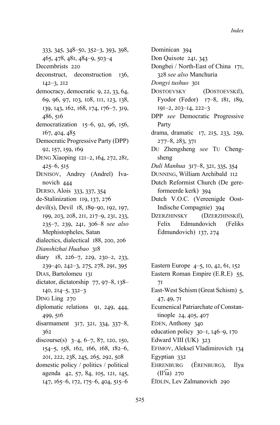333, 345, 348-50, 352-3, 393, 398, 465, 478, 481, 484-9, 503-4 Decembrists 220 deconstruct. deconstruction 136.  $142 - 3, 212$ democracy, democratic 9, 22, 33, 64, 69, 96, 97, 103, 108, 111, 123, 138, 139, 143, 162, 168, 174, 176-7, 319, 486, 516 democratization 15-6, 92, 96, 156, 167, 404, 485 Democratic Progressive Party (DPP) 92, 157, 159, 169 DENG Xiaoping 121-2, 164, 272, 281,  $425-6, 515$ DENISOV, Andrey (Andrei) Ivanovich 444 DERSO, Alois 333, 337, 354 de-Stalinization 119, 137, 276 devil(s), Devil 18, 189-90, 192, 197, 199, 203, 208, 211, 217-9, 231, 233, 235-7, 239, 241, 306-8 see also Mephistopheles, Satan dialectics, dialectical 188, 200, 206 Dianshizhai Huabao 318 diary 18, 226-7, 229, 230-2, 233, 239-40, 242-3, 275, 278, 291, 395 DIAS, Bartolomeu 131 dictator, dictatorship 77, 97-8, 138- $140, 214 - 5, 332 - 3$ DING Ling 270 diplomatic relations 91, 249, 444, 499, 516 disarmament 317, 321, 334, 337-8,  $362$ discourse(s)  $3-4, 6-7, 87, 120, 150,$ 154-5, 158, 162, 166, 168, 182-6, 201, 222, 238, 245, 265, 292, 508 domestic policy / politics / political agenda 42, 57, 84, 105, 121, 145, 147, 165–6, 172, 175–6, 404, 515–6

Don Quixote 241, 343 Dongbei / North-East of China 171, 328 see also Manchuria Dongyi tushuo 301 **DOSTOEVSKY** (DOSTOEVSKII), Fyodor (Fedor) 17-8, 181, 189,  $191 - 2, 203 - 14, 222 - 3$ DPP see Democratic Progressive Party drama, dramatic 17, 215, 233, 259,  $277 - 8, 283, 371$ Du Zhengsheng see Tu Chengsheng Duli Manhua 317-8, 321, 335, 354 DUNNING, William Archibald II2 Dutch Reformist Church (De gereformeerde kerk) 394 Dutch V.O.C. (Vereenigde Oost-Indische Compagnie) 394 **DZERZHINSKY** (DZERZHINSKIĬ), Felix Edmundovich (Feliks Edmundovich)  $137, 274$ 

Dominican 394

Eastern Europe 4–5, 10, 42, 61, 152 Eastern Roman Empire (E.R.E) 55,  $7<sub>I</sub>$ East-West Schism (Great Schism) 5, 47, 49, 71 Ecumenical Patriarchate of Constantinople 24, 405, 407 EDEN, Anthony 340 education policy  $30-1$ ,  $146-9$ ,  $170$ Edward VIII (UK) 323 EFIMOV, Alekseĭ Vladimirovich 134 Egyptian 332 EHRENBURG (ERENBURG), Ilya  $(II'ia)$  270 ĖĬDLIN, Lev Zalmanovich 290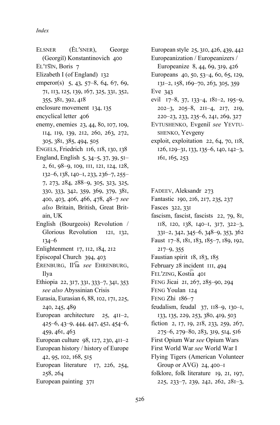- ELSNER (ĖLʹSNER), George
- (Georgiĭ) Konstantinovich 400
- EL'TSIN, Boris 7
- Elizabeth I (of England) 132
- emperor(s)  $5, 43, 57-8, 64, 67, 69,$ 71, 113, 125, 139, 167, 325, 331, 352, 355, 381, 392, 418
- enclosure movement 134, 135
- encyclical letter 406
- enemy, enemies 23, 44, 80, 107, 109, II4, II9, I39, 2I2, 260, 263, 272, 305, 381, 385, 494, 505
- ENGELS, Friedrich 116, 118, 130, 138
- England, English  $5, 34-5, 37, 39, 5I-$ 2, 61, 98-9, 109, 111, 121, 124, 128,  $132-6$ ,  $138$ ,  $140-1$ ,  $233$ ,  $236-7$ ,  $255-$ 7, 273, 284, 288-9, 305, 323, 325, 330, 333, 342, 359, 369, 379, 381, 400, 403, 406, 466, 478, 48-7 see *also* Britain, British, Great Britain, UK
- English (Bourgeois) Revolution / Glorious Revolution 121, 132,  $134 - 6$
- Enlightenment  $17, 112, 184, 212$
- Episcopal Church 394, 403
- ĖRENBURG, Ilʹi͡a *see* EHRENBURG, Ilya
- Ethiopia 22, 317, 331, 333-7, 341, 353 *see also* Abyssinian Crisis
- Eurasia, Eurasian 6, 88, 102, 171, 225, 240, 245, 489
- European architecture  $25$ ,  $411-2$ ,  $425-6$ ,  $43-9$ ,  $444$ ,  $447$ ,  $452$ ,  $454-6$ , 459, 461, 463
- European culture  $98$ ,  $127$ ,  $230$ ,  $411-2$
- European history / history of Europe 42, 95, 102, 168, 515
- European literature 17, 226, 254, 258, 264
- European painting 371

European style 25, 310, 426, 439, 442

Europeanization / Europeanizers / Europeanize  $8, 44, 69, 319, 426$ 

- Europeans 40, 50, 53-4, 60, 65, 129, 131-2, 158, 169-70, 263, 305, 359 Eve  $343$
- evil 17-8, 37, 133-4, 181-2, 195-9, 202-3, 205-8, 211-4, 217, 219, 220–23, 233, 235–6, 241, 269, 327

EVTUSHENKO, Evgeniĭ *see* YEVTU-SHENKO, Yevgeny

- exploit, exploitation 22, 64, 70, 118, 126, 129–31, 133, 135–6, 140, 142–3,  $161, 165, 253$
- FADEEV, Aleksandr 273
- Fantastic 190, 216, 217, 235, 237
- Fasces 322, 331
- fascism, fascist, fascists  $22, 79, 81$ , II8, I20, I38, I40-I, 317, 322-3,
- 331-2, 342, 345-6, 348-9, 353, 362 Faust 17-8, 181, 183, 185-7, 189, 192,
- $217 9, 355$
- Faustian spirit 18, 183, 185
- February 28 incident III, 494
- FEL'ZING, Kostia 401
- FENG Jicai 21, 267, 285-90, 294
- FENG Youlan 124
- FENG Zhi  $186-7$
- feudalism, feudal 37, 118-9, 130-1, 133, 135, 229, 253, 380, 419, 503
- fiction 2, 17, 19, 218, 233, 259, 267, 275-6, 279-80, 283, 319, 514, 516
- First Opium War *see* Opium Wars
- First World War *see* World War I
- Flying Tigers (American Volunteer Group or AVG)  $24,400-1$
- folklore, folk literature 19, 21, 197, 225, 233-7, 239, 242, 262, 281-3,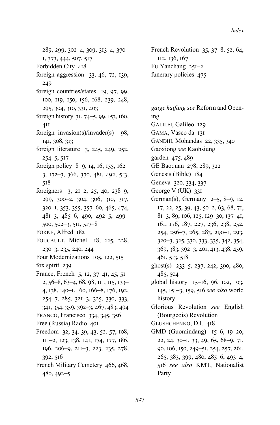289, 299, 302–4, 309, 313–4, 370– I, 373, 444, 507, 517 Forbidden City 418 foreign aggression  $33, 46, 72, 139$ , 249 foreign countries/states 19, 97, 99, 100, 119, 150, 156, 168, 239, 248, 295, 304, 310, 331, 403 foreign history 31, 74-5, 99, 153, 160,  $4II$ foreign invasion(s)/invader(s)  $98$ , 141, 308, 313 foreign literature  $3, 245, 249, 252,$  $254 - 5, 517$ foreign policy 8–9, 14, 16, 155, 162–  $3, 172-3, 366, 370, 481, 492, 513,$  $518$ foreigners  $3, 2I-2, 25, 40, 238-9,$ 299, 300-2, 304, 306, 310, 317,  $320 - 1, 353, 355, 357 - 60, 465, 474,$  $481-3, 485-6, 490, 492-5, 499 500, 502-3, 511, 517-8$ FORKE, Alfred 182 FOUCAULT, Michel 18, 225, 228, 230–3, 235, 240, 244 Four Modernizations 105, 122, 515 fox spirit  $239$ France, French 5, 12,  $37-41$ , 45,  $51-$ 2, 56–8, 63–4, 68, 98, III, II5, I33– 4, 138, 140–1, 160, 166–8, 176, 192, 254-7, 285, 321-3, 325, 330, 333,  $341, 354, 359, 392 - 3, 467, 483, 494$ FRANCO, Francisco 334, 345, 356 Free (Russia) Radio 40I Freedom 32, 34, 39, 43, 52, 57, 108,  $III-2$ ,  $I23$ ,  $I38$ ,  $I4I$ ,  $I74$ ,  $I77$ ,  $I86$ , 196, 206–9, 211–3, 223, 235, 278, 392, 516 French Military Cemetery 466, 468,  $480, 492 - 5$ 

French Revolution  $35, 37-8, 52, 64,$ II2, 136, 167 FU Yanchang 251-2 funerary policies 475

*gaige kaifang see* Reform and Opening GALILEI, Galileo 129 GAMA, Vasco da 131 GANDHI, Mohandas 22, 335, 340 Gaoxiong *see* Kaohsiung garden 475, 489 GE Baoquan 278, 289, 322 Genesis (Bible) 184 Geneva 320, 334, 337 George  $V$  (UK) 331 German(s), Germany  $2-5$ ,  $8-9$ , 12,  $17, 22, 25, 39, 43, 50 - 2, 63, 68, 71,$ 81-3, 89, 106, 125, 129-30, 137-41, 161, 176, 187, 227, 236, 238, 252, 254, 256-7, 265, 283, 290-1, 293, 320–3, 325, 330, 333, 335, 342, 354, 369, 383, 392-3, 401, 413, 438, 459, 461, 513, 518 ghost(s)  $233-5$ , 237, 242, 390, 480, 485, 504 global history  $15-16$ , 96, 102, 103, 145, 151-3, 159, 516 see also world history Glorious Revolution *see* English (Bourgeois) Revolution GLUSHCHENKO, D.I. 418 GMD (Guomindang)  $15-6$ ,  $19-20$ , 22, 24, 30-I, 33, 49, 65, 68-9, 7I, 90, 106, 150, 249–51, 254, 257, 261, 265, 383, 399, 480, 485-6, 493-4, 516 see also KMT, Nationalist Party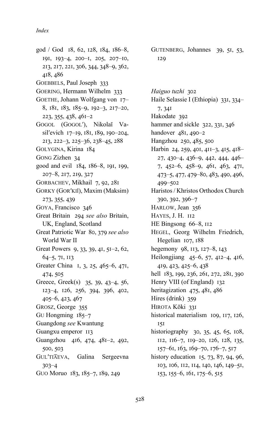god / God 18, 62, 128, 184, 186-8, I9I,  $193-4$ ,  $200-1$ ,  $205$ ,  $207-10$ , 213, 217, 221, 306, 344, 348–9, 362, 418, 486 GOEBBELS, Paul Joseph 333 GOERING, Hermann Wilhelm 333 GOETHE, Johann Wolfgang von 17-8, 181, 183, 185-9, 192-3, 217-20, 223, 355, 438, 461-2 GOGOL (GOGOLʹ), Nikolaĭ Vasil'evich 17-19, 181, 189, 190-204, 213, 222-3, 225-36, 238-45, 288 GOLYGINA, Kirina 184 GONG Zizhen 34 good and evil 184, 186-8, 191, 199, 207-8, 217, 219, 327 GORBACHEV, Mikhail 7, 92, 28I GORKY (GORʹKIĬ), Maxim (Maksim) 273, 355, 439 GOYA, Francisco 346 Great Britain 294 see also Britain, UK, England, Scotland Great Patriotic War 80, 379 see also World War II Great Powers 9, 33, 39, 41,  $5I-2$ , 62,  $64-5, 71, 113$ Greater China I, 3, 25, 465-6, 47I, 474, 505 Greece, Greek(s)  $35, 39, 43-4, 56,$ 123-4, 126, 256, 394, 396, 402,  $405-6, 423, 467$ GROSZ, George 355 GU Hongming  $185-7$ Guangdong *see* Kwantung Guangxu emperor 113 Guangzhou 416, 474, 481-2, 492, 500, 503 GULʹTI͡AEVA, Galina Sergeevna  $303 - 4$ GUO Moruo 183, 185–7, 189, 249

GUTENBERG, Johannes 39, 51, 53, 129

Haiguo tuzhi 302 Haile Selassie I (Ethiopia) 331, 334– 7, 34I Hakodate 392 hammer and sickle 322, 331, 346 handover  $481, 490-2$ Hangzhou 250, 485, 500 Harbin 24, 259, 401, 411-3, 415, 418- $27, 430-4, 436-9, 442, 444, 446 7, 452-6, 458-9, 461, 463, 471,$  $473-5, 477, 479-80, 483, 490, 496,$ 499-502 Haristos / Khristos Orthodox Church 390, 392, 396-7 HARLOW, Jean 356 HAYES, J. H. 112 HE Bingsong 66-8, 112 HEGEL, Georg Wilhelm Friedrich, Hegelian 107, 188 hegemony  $98$ , II3, I27–8, I43 Heilongjiang  $45-6$ , 57, 412–4, 416, 419, 423, 425-6, 438 hell 183, 199, 236, 261, 272, 281, 390 Henry VIII (of England) 132 heritagization  $475, 481, 486$ Hires (drink)  $359$ HIROTA Kōki 331 historical materialism 109, 117, 126,  $15I$ historiography 30, 35, 45, 65, 108, II2, II6-7, II9-20, I26, I28, I35, 157-61, 163, 169-70, 176-7, 517 history education  $15, 73, 87, 94, 96,$ 103, 106, 112, 114, 140, 146, 149-51, 153, 155–6, 161, 175–6, 515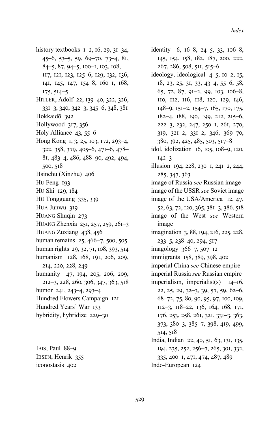- history textbooks  $I=2$ ,  $I<sub>6</sub>, 29$ ,  $3I=34$ ,  $45-6, 53-5, 59, 69-70, 73-4, 81,$  $84-5, 87, 94-5, 100-1, 103, 108,$ II7, I2I, I23, I25-6, I29, I32, I36, I4I, I45, I47, I54-8, 160-1, 168,  $175, 514 - 5$ HITLER, Adolf 22, 139-40, 322, 326, 331-3, 340, 342-3, 345-6, 348, 381 Hokkaidō 392 Hollywood  $317, 356$ Holy Alliance  $43, 55-6$ Hong Kong 1, 3, 25, 103, 172, 293-4, 322, 358, 379, 405–6, 471–6, 478– 81, 483-4, 486, 488-90, 492, 494,  $500, 518$ Hsinchu (Xinzhu) 406 HU Feng 193 HU Shi 129, 184 HU Tongguang 335, 339 HUA Junwu 319 HUANG Shuqin 273 HUANG Zhenxia  $25I$ ,  $257$ ,  $259$ ,  $26I-3$ HUANG Zuxiang 438, 456 human remains 25, 466-7, 500, 505 human rights 29, 32, 71, 108, 393, 514 humanism 128, 168, 191, 206, 209, 214, 220, 228, 249 humanity 47, 194, 205, 206, 209, 212-3, 228, 260, 306, 347, 363, 518 humor 241, 243-4, 293-4 Hundred Flowers Campaign 121 Hundred Years' War 133 hybridity, hybridize 229-30
- IBIS, Paul 88-9 IBSEN, Henrik 355 iconostasis 402
- identity 6,  $16-8$ ,  $24-5$ , 33,  $106-8$ , 145, 154, 158, 182, 187, 200, 222,  $267, 286, 508, 511, 515 - 6$
- ideology, ideological  $4-5$ ,  $10-2$ ,  $15$ ,  $18, 23, 25, 31, 33, 43-4, 55-6, 58,$  $65, 72, 87, 91-2, 99, 103, 106-8,$ IIO, II2, II6, II8, I20, I29, I46,  $I48-9$ ,  $I5I-2$ ,  $I54-7$ ,  $I65$ ,  $I70$ ,  $I75$ ,  $182-4, 188, 190, 199, 212, 215-6,$ 222-3, 232, 247, 250-I, 26I, 270,  $319, 321-2, 331-2, 346, 369-70,$ 380, 392, 425, 485, 503, 517-8
- idol, idolization  $16$ ,  $105$ ,  $108-9$ ,  $120$ ,  $I42-3$
- illusion 194, 228, 230-1, 241-2, 244, 285, 347, 363
- image of Russia *see* Russian image
- image of the USSR *see* Soviet image
- image of the USA/America 12, 47, 52, 63, 72, 120, 365, 381-3, 386, 518 image of the West *see* Western
- image imagination 3, 88, 194, 216, 225, 228,
- $233-5, 238-40, 294, 517$
- imagology  $366 7, 507 12$
- immigrants 158, 389, 398, 402
- imperial China *see* Chinese empire
- imperial Russia *see* Russian empire
- imperialism, imperialist(s)  $I4-I6$ , 22, 25, 29, 32-3, 39, 57, 59, 62-6, 68-72, 75, 80, 90, 95, 97, 100, 109,  $112-3$ ,  $118-22$ ,  $136$ ,  $164$ ,  $168$ ,  $171$ , 176, 253, 258, 261, 321, 331-3, 363,  $373, 380 - 3, 385 - 7, 398, 419, 499,$ 514, 518
- India, Indian 22, 40, 51, 63, 131, 135, 194, 235, 252, 256-7, 265, 301, 332, 335, 400-1, 471, 474, 487, 489 Indo-European 124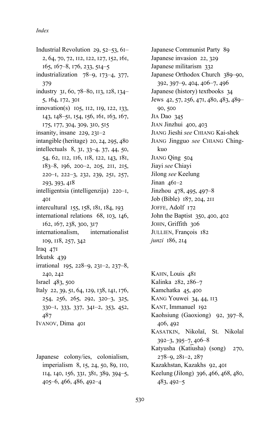Industrial Revolution 29,  $52-53$ ,  $61-$ 2, 64, 70, 72, II2, I22, I27, I52, I6I,  $165, 167-8, 176, 233, 514-5$ industrialization  $78-9$ , 173-4, 377, 379 industry 31, 60, 78-80, 113, 128, 134-5, 164, 172, 301  $innovation(s)$  105, 112, 119, 122, 133, 143, 148-51, 154, 156, 161, 163, 167, 175, 177, 304, 309, 310, 515 insanity, insane  $229$ ,  $23I-2$ intangible (heritage) 20, 24, 295, 480 intellectuals  $8, 31, 33-4, 37, 44, 50,$ 54, 62, 112, 116, 118, 122, 143, 181, 183-8, 196, 200-2, 205, 211, 215, 220-I, 222-3, 232, 239, 25I, 257, 293, 393, 418 intelligentsia (intelligenzija)  $220 - I$ , 40I intercultural 155, 158, 181, 184, 193 international relations  $68$ ,  $103$ ,  $146$ , 162, 167, 238, 300, 317 internationalism, internationalist 109, 118, 257, 342 Iraq  $47I$ Irkutsk 439 irrational 195, 228-9, 231-2, 237-8, 240, 242  $Israel$   $483, 500$ Italy 22, 39, 51, 64, 129, 138, 141, 176, 254, 256, 265, 292, 320-3, 325, 330–I, 333, 337, 341–2, 353, 452, 487 IVANOV, Dima 40I

Japanese colony/ies, colonialism, imperialism 8, 15, 24, 50, 89, 110, II4, I40, I56, 33I, 38I, 389, 394-5, 405–6, 466, 486, 492–4

Japanese Communist Party 89 Japanese invasion 22, 329 Japanese militarism 332 Japanese Orthodox Church 389-90, 392, 397-9, 404, 406-7, 496 Japanese (history) textbooks 34 Jews 42, 57, 256, 471, 480, 483, 489– 90, 500 JIA Dao 345 JIAN Jinzhui 400, 403 JIANG Jieshi *see* CHIANG Kai-shek JIANG Jingguo *see* CHIANG Chingkuo JIANG Qing 504 Jiayi *see* Chiayi Jilong *see* Keelung Jinan  $46I-2$ Jinzhou 478, 495, 497-8 Job (Bible) 187, 204, 211 JOFFE, Adolf 172 John the Baptist  $350, 400, 402$ JOHN, Griffith 306 JULLIEN, François 182 *junzi* 186, 214

KAHN, Louis 48I Kalinka 282, 286-7 Kamchatka 45, 400 KANG Youwei 34, 44, 113 KANT, Immanuel 192 Kaohsiung (Gaoxiong) 92, 397-8, 406, 492 KASATKIN, Nikolaĭ, St. Nikolaĭ  $392-3, 395-7, 406-8$ Katyusha (Katiusha) (song) 270,  $278-9, 281-2, 287$ Kazakhstan, Kazakhs 92, 40I Keelung (Jilong) 396, 466, 468, 480,  $483, 492 - 5$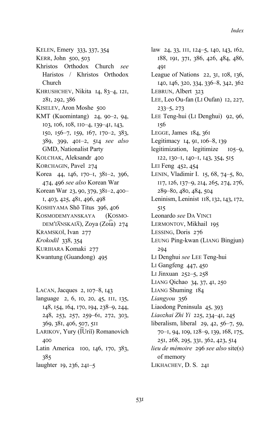- KELEN, Emery 333, 337, 354
- KERR, John 500, 503
- Khristos Orthodox Church *see* Haristos / Khristos Orthodox Church
- KHRUSHCHEV, Nikita 14, 83-4, 121, 281, 292, 386
- KISELEV, Aron Moshe 500
- KMT (Kuomintang) 24, 90-2, 94, 103, 106, 108, 110-4, 139-41, 143, 150, 156-7, 159, 167, 170-2, 383, 389, 399, 401-2, 514 see also GMD, Nationalist Party
- KOLCHAK, Aleksandr 400
- KORCHAGIN, Pavel 274
- Korea 44, 146, 170-1, 381-2, 396, 474, 496 see also Korean War
- Korean War 23, 90, 379, 381-2, 400-I, 403, 425, 48I, 496, 498
- KOSHIYAMA Shō Titus 396, 406
- KOSMODEMYANSKAYA (KOSMO-DEM'IANSKAIA), Zoya (Zoia) 274
- KRAMSKOĬ, Ivan 277
- *Krokodil* 338, 354
- KURIHARA Komaki 277
- Kwantung (Guandong) 495
- LACAN, Jacques  $2$ , 107–8, 143 language 2, 6, 10, 20, 45, III, 135, 148, 154, 164, 170, 194, 238-9, 244, 248, 253, 257, 259–61, 272, 303, 369, 381, 406, 507, 511 LARIKOV, Yury (I͡Uriĭ) Romanovich 400 Latin America 100, 146, 170, 383,  $385$ laughter 19, 236, 241–5

law 24, 33, III, I24-5, I40, I43, I62, 188, 191, 371, 386, 426, 484, 486, 491 League of Nations  $22$ ,  $31$ ,  $108$ ,  $136$ , 140, 146, 320, 334, 336-8, 342, 362 LEBRUN, Albert 323 LEE, Leo Ou-fan (LI Oufan) 12, 227,  $233-5, 273$ LEE Teng-hui (LI Denghui) 92, 96,  $156$ LEGGE, James  $184, 361$ Legitimacy 14, 91, 106-8, 139 legitimization, legitimize  $105-9$ , I22, I30-I, I40-I, I43, 354, 515 LEI Feng 452, 454 LENIN, Vladimir I. 15, 68, 74-5, 80, II7, I26, I37-9, 2I4, 265, 274, 276, 289-80, 480, 484, 504 Leninism, Leninist 118, 132, 143, 172, 515 Leonardo *see* DA VINCI LERMONTOV, Mikhail 195 LESSING, Doris 276 LEUNG Ping-kwan (LIANG Bingjun) 294 LI Denghui *see* LEE Teng-hui LI Gangfeng  $447, 450$ LI Jinxuan  $252 - 5$ ,  $258$ LIANG Qichao 34, 37, 41, 250 LIANG Shuming 184 Liangyou 356 Liaodong Peninsula 45, 393 Liaozhai Zhi Yi 225, 234-41, 245 liberalism, liberal  $29, 42, 56-7, 59$ , 70-1, 94, 109, 128-9, 139, 168, 175, 251, 268, 295, 331, 362, 423, 514 *lieu de mémoire* 296 see also site(s) of memory LIKHACHEV, D. S. 24I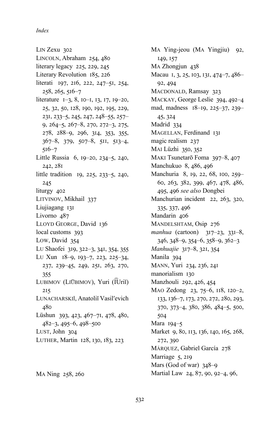LIN Zexu 302 LINCOLN, Abraham 254, 480 literary legacy  $225$ ,  $229$ ,  $245$ Literary Revolution 185, 226 literati 197, 216, 222, 247-51, 254,  $258, 265, 516 - 7$ literature 1-3, 8, 10-1, 13, 17, 19-20, 25, 32, 50, 128, 190, 192, 195, 229, 231, 233-5, 245, 247, 248-55, 257-9, 264-5, 267-8, 270, 272-3, 275, 278, 288-9, 296, 314, 353, 355,  $367-8$ ,  $379$ ,  $507-8$ ,  $511$ ,  $513-4$ ,  $516 - 7$ Little Russia 6, 19–20, 234–5, 240,  $242, 281$ little tradition 19, 225, 233–5, 240, 245 liturgy 402 LITVINOV, Mikhail 337 Liujiagang 131 Livorno 487 LLOYD GEORGE, David 136 local customs 393 Low, David 354 Lu Shaofei 319, 322-3, 341, 354, 355 LU Xun 18-9, 193-7, 223, 225-34, 237, 239-45, 249, 251, 263, 270, 355 LUBIMOV (LIŪBIMOV), Yuri (IUrii)  $215$ LUNACHARSKII, Anatolii Vasil'evich 480 Lüshun 393, 423, 467–71, 478, 480, 482-3, 495-6, 498-500 LUST, John 304 LUTHER, Martin 128, 130, 183, 223

MA Ning 258, 260

MA Ying-jeou (MA Yingjiu) 92, 149, 157 MA Zhongjun 438 Macau 1, 3, 25, 103, 131, 474-7, 486-92, 494 MACDONALD, Ramsay 323 MACKAY, George Leslie 394, 492-4 mad, madness 18-19, 225-37, 239-45, 324 Madrid 334 MAGELLAN, Ferdinand 131 magic realism 237 MAI Lüzhi 350, 352 MAKI Tsunetarō Foma 397-8, 407 Manchukuo 8, 486, 496 Manchuria 8, 19, 22, 68, 100, 259-60, 263, 382, 399, 467, 478, 486, 495, 496 see also Dongbei Manchurian incident 22, 263, 320, 335, 337, 496 Mandarin 406 MANDELSHTAM, Osip 276 manhua (cartoon)  $317-23$ ,  $331-8$ ,  $346, 348 - 9, 354 - 6, 358 - 9, 362 - 3$ Manhuajie 317-8, 321, 354 Manila 394 MANN, Yuri 234, 236, 241 manorialism 130 Manzhouli 292, 426, 454 MAO Zedong 23, 75–6, 118, 120–2, 133, 136-7, 173, 270, 272, 280, 293,  $370, 373 - 4, 380, 386, 484 - 5, 500,$ 504 Mara 194-5 Market 9, 80, 113, 136, 140, 165, 268, 272, 390 MÁRQUEZ, Gabriel García 278 Marriage 5, 219 Mars (God of war) 348-9 Martial Law 24, 87, 90, 92-4, 96,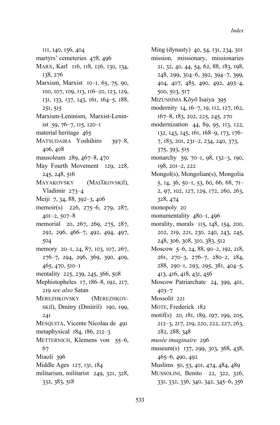III, 140, 156, 404

- martyrs' cemeteries 478, 496
- MARX, Karl 116, 118, 126, 130, 134, 138, 276
- Marxism, Marxist 10-1, 65, 75, 90, 100, 107, 109, 113, 116-20, 123, 129, 131, 133, 137, 143, 161, 164-5, 188, 251, 515
- Marxism-Leninism, Marxist-Leninist  $59, 76 - 7, 115, 120 - 1$
- material heritage 465
- MATSUDAIRA Yoshihiro  $397 - 8$ , 406, 408
- mausoleum 289, 467–8, 470
- May Fourth Movement 129, 228, 245, 248, 516
- **MAYAKOVSKY** (MAIAKOVSKII), Vladimir  $273-4$
- Meiji 7, 34, 88, 392-3, 406
- memoir(s) 226, 275–6, 279, 287,  $40I-2, 507-8$
- memorial 20, 267, 269, 275, 287, 292, 296, 466-7, 492, 494, 497, 504
- memory 20–1, 24, 87, 103, 107, 267, 276-7, 294, 296, 369, 390, 409, 465, 470, 510-1
- mentality 225, 239, 245, 366, 508
- Mephistopheles 17, 186-8, 192, 217, 219 see also Satan
- **MEREZHKOVSKY** (MEREZHKOV-SKII), Dmitry (Dmitrii) 190, 199,  $24I$
- MESQUITA, Vicente Nicolau de 491
- metaphysical  $184$ ,  $186$ ,  $212-3$
- METTERNICH, Klemens von 55–6, 67
- Miaoli 396
- Middle Ages 127, 131, 184
- militarism, militarist 249, 321, 328, 332, 383, 518
- Ming (dynasty) 40, 54, 131, 234, 301 mission, missionary, missionaries 21, 32, 40, 44, 54, 62, 88, 183, 198, 248, 299, 304-6, 392, 394-7, 399, 404, 407, 485, 490, 492, 493-4, 500, 503, 517 MIZUSHIMA Kōyō Isaiya 395 modernity 14, 16-7, 19, 112, 127, 162, 167-8, 183, 202, 225, 245, 270 modernization 44, 89, 95, 113, 122, 132, 143, 145, 161, 168-9, 173, 176-7, 183, 201, 231-2, 234, 240, 373, 375, 393, 515 monarchy 59, 70-1, 98, 132-3, 190, 198, 201-2, 222 Mongol(s), Mongolian(s), Mongolia 5, 14, 36, 50–1, 53, 60, 66, 68, 71– 2, 97, 102, 127, 129, 172, 260, 263, 328, 474 monopoly 20 monumentality 480-1, 496 morality, morals 115, 148, 154, 200, 202, 219, 221, 230, 240, 243, 245, 248, 306, 308, 310, 383, 512 Moscow 5-6, 24, 88, 90-2, 192, 218, 261, 270-3, 276-7, 280-2, 284, 288, 290-1, 293, 295, 381, 404-5, 413, 416, 418, 431, 456 Moscow Patriarchate 24, 399, 401,  $403 - 7$ Mossolit 221 MOTE, Frederick 182 motif(s) 20, 181, 189, 197, 199, 205,
	- 212-3, 217, 219, 220, 222, 227, 263, 282, 288, 348
- musée imaginaire 296
- museum(s) 137, 299, 303, 368, 438, 465-6, 490, 492
- Muslims 50, 53, 401, 474, 484, 489
- MUSSOLINI, Benito 22, 322, 326, 331, 332, 336, 340, 342, 345-6, 356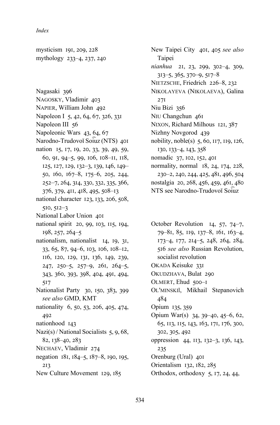mysticism 191, 209, 228 mythology 233–4, 237, 240

Nagasaki 396 NAGOSKY, Vladimir 403 NAPIER, William John 492 Napoleon I 5, 42, 64, 67, 326, 331 Napoleon III 56 Napoleonic Wars 43, 64, 67 Narodno-Trudovoĭ Soiuz (NTS) 401 nation 15, 17, 19, 20, 33, 39, 49, 59, 60, 91, 94-5, 99, 106, 108-11, 118, 125, 127, 129, 132-3, 139, 146, 149-50, 160, 167-8, 175-6, 205, 244, 252-7, 264, 314, 330, 332, 335, 366, 376, 379, 411, 418, 495, 508-13 national character 123, 133, 206, 508,  $510, 512 - 3$ National Labor Union 401 national spirit 20, 99, 103, 115, 194,  $198, 257, 264 - 5$ nationalism, nationalist 14, 19, 31, 33, 65, 87, 94-6, 103, 106, 108-12, 116, 120, 129, 131, 136, 149, 239, 247, 250-5, 257-9, 261, 264-5, 343, 360, 393, 398, 404, 491, 494, 517 Nationalist Party 30, 150, 383, 399 see also GMD, KMT nationality 6, 50, 53, 206, 405, 474, 492 nationhood 143 Nazi(s) / National Socialists  $5, 9, 68$ , 82, 138-40, 283 NECHAEV, Vladimir 274 negation 181, 184-5, 187-8, 190, 195,  $213$ New Culture Movement 129, 185

New Taipei City 401, 405 see also Taipei nianhua 21, 23, 299, 302-4, 309,  $313-5, 365, 370-9, 517-8$ NIETZSCHE, Friedrich 226-8, 232 NIKOLAYEVA (NIKOLAEVA), Galina  $27I$ Niu Bizi 356 NIU Changchun 461 NIXON, Richard Milhous 121, 387 Nizhny Novgorod 439 nobility, noble(s) 5, 60, 117, 119, 126, 130, 133-4, 143, 358 nomadic 37, 102, 152, 401 normality, normal 18, 24, 174, 228, 230-2, 240, 244, 425, 481, 496, 504 nostalgia 20, 268, 456, 459, 461, 480 NTS see Narodno-Trudovoĭ Soiuz

- October Revolution 14, 57, 74-7, 79-81, 85, 119, 137-8, 161, 163-4, 173-4, 177, 214-5, 248, 264, 284, 516 see also Russian Revolution, socialist revolution OKADA Keisuke 331 OKUDZHAVA, Bulat 290 OLMERT, Ehud 500-I OL'MINSKII, Mikhail Stepanovich 484
- Opium 135, 359
- Opium War(s) 34, 39-40, 45-6, 62, 65, 113, 115, 143, 163, 171, 176, 300, 302, 305, 492
- oppression 44, 113, 132-3, 136, 143, 235
- Orenburg (Ural) 401
- Orientalism 132, 182, 285
- Orthodox, orthodoxy 5, 17, 24, 44,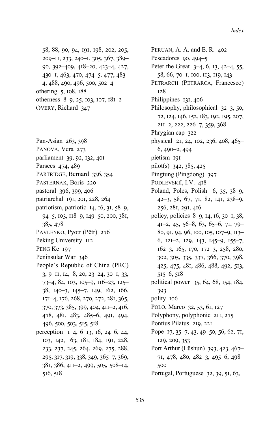58, 88, 90, 94, 191, 198, 202, 205, 209-II, 233, 240-I, 305, 367, 389-90, 392-409, 418-20, 423-4, 427, 430-1, 463, 470, 474-5, 477, 483-4, 488, 490, 496, 500, 502-4 othering 5, 108, 188 otherness 8-9, 25, 103, 107, 181-2 OVERY, Richard 347

Pan-Asian 263, 398 PANOVA, Vera 273

- parliament 39, 92, 132, 401
- Parsees 474, 489
- 
- PARTRIDGE, Bernard 336, 354 PASTERNAK, Boris 220
- pastoral 396, 399, 406
- patriarchal 191, 201, 228, 264
- patriotism, patriotic 14, 16, 31, 58-9,
- 94-5, 103, 118-9, 149-50, 200, 381, 385, 478
- PAVLENKO, Pyotr (Pëtr) 276
- Peking University II2
- PENG Ke 197
- Peninsular War 346
- People's Republic of China (PRC)  $3, 9$ -II, I4, -8, 20, 23-24, 30-I, 33, 73-4, 84, 103, 105-9, 116-23, 125-38, 140-3, 145-7, 149, 162, 166, 171-4, 176, 268, 270, 272, 281, 365, 370, 373, 385, 399, 404, 411-2, 416, 478, 481, 483, 485-6, 491, 494, 496, 500, 503, 515, 518
- perception  $I=4, 6-I3, 16, 24-6, 44,$ 103, 142, 163, 181, 184, 191, 228, 233, 237, 245, 264, 269, 275, 288, 295, 317, 319, 338, 349, 365-7, 369, 381, 386, 411-2, 499, 505, 508-14,  $516, 518$

PERUAN, A. A. and E. R. 402 Pescadores  $90,494-5$ Peter the Great  $3-4, 6, 13, 42-4, 55,$ 58, 66, 70-1, 100, 113, 119, 143 PETRARCH (PETRARCA, Francesco)  $128$ Philippines 131, 406 Philosophy, philosophical  $32-3$ , 50, 72, 124, 146, 152, 183, 192, 195, 207, 211-2, 222, 226-7, 359, 368 Phrygian cap 322 physical 21, 24, 102, 236, 408, 465- $6,490-2,494$ pietism 191 pilot(s) 342, 385, 425 Pingtung (Pingdong) 397 PODLEVSKII, I.V. 418 Poland, Poles, Polish  $6, 35, 38-9$ , 42-3, 58, 67, 71, 82, 141, 238-9, 256, 281, 291, 416 policy, policies 8–9, 14, 16, 30–1, 38,  $4I-2, 45, 56-8, 63, 65-6, 7I, 79-$ 80, 91, 94, 96, 100, 105, 107-9, 113-6, 121-2, 129, 143, 145-9, 155-7, 162-3, 165, 170, 172-3, 258, 280, 302, 305, 335, 337, 366, 370, 398, 425, 475, 481, 486, 488, 492, 513,  $515-6, 518$ political power 35, 64, 68, 154, 184, 393 polity 106 POLO, Marco 32, 53, 61, 127 Polyphony, polyphonic 2II, 275 Pontius Pilatus 219, 221 Pope 17, 35-7, 43, 49-50, 56, 62, 71, 129, 209, 353 Port Arthur (Lüshun) 393, 423, 467-71, 478, 480, 482-3, 495-6, 498-500 Portugal, Portuguese 32, 39, 51, 63,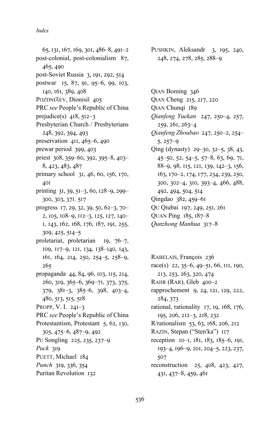- 65, 131, 167, 169, 301, 486–8, 491–2 post-colonial, post-colonialism  $87$ , 465, 490 post-Soviet Russia 3, 191, 292, 514 postwar 15, 87, 91, 95–6, 99, 103, 140, 161, 389, 408 POZDNIAEV, Dionisiĭ 405 PRC *see* People's Republic of China prejudice(s)  $418, 512-3$ Presbyterian Church / Presbyterians 248, 392, 394, 493 preservation  $411, 465-6, 490$ prewar period 399, 403 priest 308, 359–60, 392, 395–8, 403– 8, 423, 483, 487 primary school  $3I, 46, 60, 156, 170,$ 401 printing  $31, 39, 51-3, 60, 128-9, 299-$ 300, 303, 371, 517 progress  $17, 29, 32, 39, 50, 62-3, 70-$ 2, 105, 108–9, 112–3, 125, 127, 140– 1, 143, 162, 168, 176, 187, 191, 255,  $309, 425, 514 - 5$ proletariat, proletarian  $19, 76-7,$ 109, 117-9, 121, 134, 138-140, 143, 161, 164, 214, 250, 254-5, 258-9,  $265$ propaganda 44, 84, 96, 103, 115, 214, 260, 319, 365–6, 369–71, 373, 375,  $379, 381-3, 385-6, 398, 403-4,$ 480, 513, 515, 518 PROPP, V. I.  $24I-3$ PRC *see* People's Republic of China Protestantism, Protestant 5, 62, 130,  $305, 475 - 6, 487 - 9, 492$ Pu Songling 225, 235, 237-9 *Puck* 319 PUETT, Michael 184 *Punch* 319, 336, 354
- Puritan Revolution 132
- PUSHKIN, Aleksandr 3, 195, 240, 248, 274, 278, 285, 288-9
- QIAN Boming 346 QIAN Cheng 215, 217, 220 QIAN Chunqi 189 *Qianfeng Yuekan 247, 250-4, 257,*  $259, 261, 263-4$ Qianfeng Zhoubao 247, 250-2, 254- $5, 257-9$ Qing (dynasty)  $29-30$ ,  $32-5$ ,  $38$ ,  $43$ ,  $45-50, 52, 54-5, 57-8, 63, 69, 71,$ 88-9, 98, 115, 121, 139, 142-3, 156, 163, 170-2, 174, 177, 234, 239, 250, 300, 302–4, 310, 393–4, 466, 488, 492, 494, 504, 514 Qingdao 382, 459-61 QU Qiubai 197, 249, 251, 261 QUAN Ping  $185, 187 - 8$ *Qunzhong Manhua* 317-8
- RABELAIS, François 236 race(s)  $22, 35-6, 49-51, 66, 111, 190,$ 213, 253, 263, 320, 474 RAHR  $(RAR)$ , Gleb  $400-2$ rapprochement 9, 24, 121, 129, 222, 284, 373 rational, rationality  $17, 19, 168, 176,$ 195, 206, 212-3, 218, 232 R/rationalism 53, 63, 168, 206, 212 RAZIN, Stepan ("Sten'ka") 117 reception  $I0-I$ ,  $I8I$ ,  $I83$ ,  $I85-6$ , 191, 193-4, 196-9, 201, 204-5, 223, 237, 507 reconstruction  $25, 408, 423, 427,$  $43I, 437–8, 459, 46I$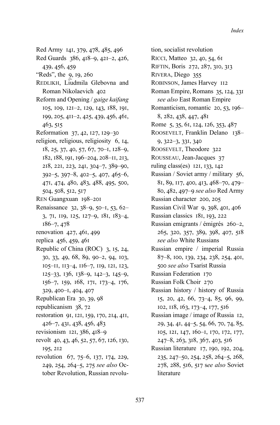- Red Army 141, 379, 478, 485, 496
- Red Guards 386, 418-9, 421-2, 426, 439, 456, 459
- "Reds", the 9, 19, 260
- REDLIKH, Liudmila Glebovna and Roman Nikolaevich 402
- Reform and Opening / gaige kaifang 105, 109, 121-2, 129, 143, 188, 191, 199, 205, 411-2, 425, 439, 456, 461, 463, 515
- Reformation 37, 42, 127, 129-30
- religion, religious, religiosity 6, 14,  $18, 25, 37, 40, 57, 67, 70-1, 128-9,$ 182, 188, 191, 196-204, 208-11, 213, 218, 221, 223, 241, 304-7, 389-90,  $392-5, 397-8, 402-5, 407, 465-6,$ 471, 474, 480, 483, 488, 495, 500, 504, 508, 512, 517
- REN Guangxuan 198-201
- Renaissance 32, 38-9, 50-1, 53, 62-3, 71, 119, 125, 127-9, 181, 183-4,  $186 - 7,478$
- renovation 427, 461, 499
- replica 456, 459, 461
- Republic of China (ROC) 3, 15, 24, 30, 33, 49, 68, 89, 90-2, 94, 103, 105-11, 113-4, 116-7, 119, 121, 123, 125-33, 136, 138-9, 142-3, 145-9, 156-7, 159, 168, 171, 173-4, 176, 329, 400-1, 404, 407
- Republican Era 30, 39, 98
- republicanism 38, 72
- restoration 91, 121, 159, 170, 214, 411, 426-7, 431, 438, 456, 483
- revisionism  $121, 386, 418 9$
- revolt 40, 43, 46, 52, 57, 67, 126, 130, 195, 212
- revolution 67, 75–6, 137, 174, 229, 249, 254, 264-5, 275 see also October Revolution, Russian revolu-

tion, socialist revolution RICCI, Matteo 32, 40, 54, 61 RIFTIN, Boris 272, 287, 310, 313 RIVERA, Diego 355 ROBINSON, James Harvey 112 Roman Empire, Romans 35, 124, 331 see also East Roman Empire Romanticism, romantic 20, 53, 196-8, 282, 438, 447, 481 Rome 5, 35, 61, 124, 126, 353, 487 ROOSEVELT, Franklin Delano 138-9, 322-3, 331, 340 ROOSEVELT, Theodore 322 ROUSSEAU, Jean-Jacques 37 ruling class(es) 121, 133, 142 Russian / Soviet army / military 56, 81, 89, 117, 400, 413, 468–70, 479– 80, 482, 497-9 see also Red Army Russian character 200, 205 Russian Civil War 9, 398, 401, 406 Russian classics 181, 193, 222 Russian emigrants / émigrés 260-2, 265, 320, 357, 389, 398, 407, 518 see also White Russians Russian empire / imperial Russia 87-8, 100, 139, 234, 238, 254, 401, 500 see also Tsarist Russia Russian Federation 170 Russian Folk Choir 270 Russian history / history of Russia 15, 20, 42, 66, 73-4, 85, 96, 99, 102, 118, 163, 173-4, 177, 516 Russian image / image of Russia 12, 29, 34, 41, 44–5, 54, 66, 70, 74, 85, 105, 121, 147, 160-1, 170, 172, 177, 247-8, 263, 318, 367, 403, 516 Russian literature 17, 190, 192, 204, 235, 247-50, 254, 258, 264-5, 268, 278, 288, 516, 517 see also Soviet

literature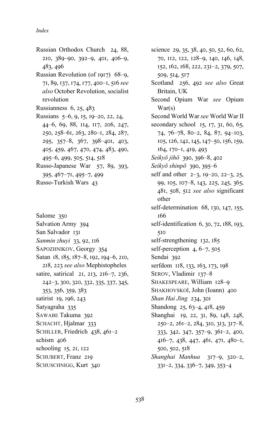- Russian Orthodox Church 24, 88,  $2I0, 389-90, 392-9, 40I, 406-9,$ 483, 496
- Russian Revolution (of 1917)  $68-9$ , 71, 89, 137, 174, 177, 400-1, 516 see *also* October Revolution, socialist revolution
- Russianness  $6, 25, 483$
- Russians 5–6, 9, 15, 19–20, 22, 24, 44-6, 69, 88, 114, 117, 206, 247, 250, 258-61, 263, 280-1, 284, 287, 295, 357-8, 367, 398-401, 403, 405, 459, 467, 470, 474, 483, 490,  $495-6, 499, 505, 514, 518$
- Russo-Japanese War 57, 89, 393,  $395, 467 - 71, 495 - 7, 499$
- Russo-Turkish Wars 43
- Salome 350 Salvation Army 394 San Salvador 131 *Sanmin zhuyi* 33, 92, 116 SAPOZHNIKOV, Georgy 354 Satan 18, 185, 187-8, 192, 194-6, 210, 218, 223 see also Mephistopheles satire, satirical 21, 213, 216-7, 236, 242-3, 300, 320, 332, 335, 337, 345, 353, 356, 359, 383 satirist 19, 196, 243 Satyagraha 335 SAWABE Takuma 392 SCHACHT, Hjalmar 333 SCHILLER, Friedrich 438, 461-2 schism 406 schooling  $15$ ,  $21$ ,  $122$ SCHUBERT, Franz 219 SCHUSCHNIGG, Kurt 340

science 29, 35, 38, 40, 50, 52, 60, 62, 70, II2, I22, I28-9, I40, I46, I48, 152, 162, 168, 222, 231–2, 379, 507, 509, 514, 517 Scotland 256, 492 see also Great Britain, UK Second Opium War *see* Opium War(s) Second World War *see* World War II secondary school  $15, 17, 31, 60, 65,$ 74, 76–78, 80–2, 84, 87, 94–103, 105, 126, 142, 145, 147-50, 156, 159, 164, 170-1, 419, 493 *Seikyō jihō* 390, 396–8, 402 *Seikyō shinpō* 390, 395-6 self and other  $2-3$ ,  $19-20$ ,  $22-3$ ,  $25$ , 99, 105, 107-8, 143, 225, 245, 365, 481, 508, 512 see also significant other self-determination  $68$ , 130, 147, 155, 166 self-identification  $6, 30, 72, 188, 193,$  $5I<sub>0</sub>$ self-strengthening  $132, 185$ self-perception  $4, 6-7, 505$ Sendai 392 serfdom 118, 133, 163, 173, 198 SEROV, Vladimir 137-8 SHAKESPEARE, William 128-9 SHAKHOVSKOĬ, John (Ioann) 400 *Shan Hai Jing 234, 301* Shandong 25, 63-4, 418, 459 Shanghai 19, 22, 31, 89, 148, 248,  $250-2, 261-2, 284, 310, 313, 317-8,$  $333, 342, 347, 357-9, 361-2, 400,$ 416-7, 438, 447, 461, 471, 480-1,  $500, 502, 518$ Shanghai Manhua 317-9, 320-2,  $33I-2, 334, 336-7, 349, 353-4$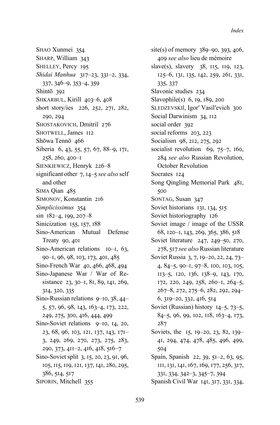SHAO Xunmei 354 SHARP, William 343 SHELLEY, Percy 195 Shidai Manhua 317-23, 331-2, 334,  $337, 346 - 9, 353 - 4, 359$ Shintō 392 SHKARBUL, Kirill 403-6, 408 short story/ies 226, 252, 271, 282, 290, 294 SHOSTAKOVICH, Dmitriĭ 276 SHOTWELL, James II2 Shōwa Tennō 466 Siberia 6, 43, 55, 57, 67, 88-9, 171, 258, 260, 400-1 SIENKIEWICZ, Henryk 226-8 significant other 7,  $14-5$  see also self and other SIMA Oian 485 SIMONOV, Konstantin 216 Simplicissimus 354  $\sin$  182-4, 199, 207-8 Sinicization 155, 157, 188 Sino-American Mutual Defense Treaty 90, 40I Sino-American relations  $I0-I$ , 63, 90-1, 96, 98, 103, 173, 401, 485 Sino-French War 40, 466, 468, 494 Sino-Japanese War / War of Resistance 23, 30-1, 81, 89, 141, 269, 314, 320, 335 Sino-Russian relations  $9-10$ ,  $38$ ,  $44-$ 5, 57, 96, 98, 143, 163-4, 173, 222, 249, 275, 300, 416, 444, 499 Sino-Soviet relations 9-10, 14, 20, 23, 68, 96, 103, 121, 137, 143, 171-3, 249, 269, 270, 273, 275, 283, 290, 373, 411-2, 416, 418, 516-7 Sino-Soviet split 3, 15, 20, 23, 91, 96, 105, 115, 119, 121, 137, 141, 280, 295, 386, 514, 517 SIPORIN, Mitchell 355

site(s) of memory 389–90, 393, 406, 409 see also lieu de mémoire slave(s), slavery  $38$ ,  $115$ ,  $119$ ,  $123$ , 125-6, 131, 135, 142, 259, 261, 331, 335, 337 Slavonic studies 234 Slavophile(s) 6, 19, 189, 200 SLEDZEVSKII, Igor' Vasil'evich 300 Social Darwinism 34, 112 social order 392 social reforms 203, 223 Socialism 98, 212, 275, 292 socialist revolution  $69, 75-7, 160,$ 284 see also Russian Revolution, October Revolution Socrates 124 Song Qingling Memorial Park 481, 500 SONTAG, Susan 347 Soviet historians 131, 134, 515 Soviet historiography 126 Soviet image / image of the USSR 68, 120-1, 143, 269, 365, 386, 518 Soviet literature 247, 249-50, 270, 278, 517 see also Russian literature Soviet Russia 3, 7, 19–20, 22, 24, 73– 4, 84-5, 90-1, 97-8, 100, 103, 105, 113-5, 120, 136, 138-9, 143, 170, 172, 220, 249, 258, 260-1, 264-5, 267-8, 272, 275-6, 282, 292, 294- $6, 319 - 20, 332, 416, 514$ Soviet (Russian) history  $14-5$ , 73-5, 84–5, 96, 99, 102, 118, 163–4, 173, 287 Soviets, the 15, 19–20, 23, 82, 139– 41, 294, 474, 478, 485, 496, 499, 504 Spain, Spanish 22, 39, 51-2, 63, 95, 111, 131, 141, 167, 169, 177, 256, 317, 331, 334, 342-3, 345-7, 394 Spanish Civil War 141, 317, 331, 334,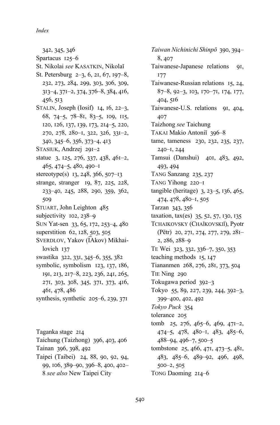342, 345, 346 Spartacus  $125-6$ St. Nikolai see KASATKIN, Nikolaĭ St. Petersburg  $2-3, 6, 21, 67, 197-8$ , 232, 273, 284, 299, 303, 306, 309, 313-4, 371-2, 374, 376-8, 384, 416, 456, 513 STALIN, Joseph (Iosif) 14, 16, 22-3, 68, 74-5, 78-81, 83-5, 109, 115, 120, 126, 137, 139, 173, 214-5, 220, 270, 278, 280-1, 322, 326, 331-2, 340, 345-6, 356, 373-4, 413 STASIUK, Andrzej 291-2 statue 3, 125, 276, 337, 438, 461-2, 465, 474-5, 480, 490-1 stereotype(s)  $13, 248, 366, 507-13$ strange, stranger 19, 87, 225, 228, 233-40, 245, 288, 290, 359, 362, 509 STUART, John Leighton 485 subjectivity  $102, 238 - 9$ SUN Yat-sen 33, 65, 172, 253-4, 480 superstition 62, 128, 503, 505 SVERDLOV, Yakov (IAkov) Mikhailovich  $137$ swastika 322, 331, 345-6, 355, 382 symbolic, symbolism 123, 137, 186, 191, 213, 217-8, 223, 236, 241, 265, 271, 303, 308, 345, 371, 373, 416, 461, 478, 486 synthesis, synthetic  $205-6$ , 239, 371

Taganka stage 214 Taichung (Taizhong) 396, 403, 406 Tainan 396, 398, 492 Taipei (Taibei) 24, 88, 90, 92, 94, 99, 106, 389-90, 396-8, 400, 402-8 see also New Taipei City

Taiwan Nichinichi Shinpō 390, 394-8, 407 Taiwanese-Japanese relations 91,  $177$ Taiwanese-Russian relations 15, 24, 87-8, 92-3, 103, 170-71, 174, 177, 404, 516 Taiwanese-U.S. relations 91, 404, 407 Taizhong see Taichung TAKAI Makio Antoniĭ 396-8 tame, tameness 230, 232, 235, 237, 240-1, 244 Tamsui (Danshui) 401, 483, 492, 493, 494 TANG Sanzang 235, 237 TANG Yihong 220-I tangible (heritage) 3, 23-5, 136, 465, 474, 478, 480-1, 505 Tarzan 343, 356 taxation, tax(es) 35, 52, 57, 130, 135 TCHAIKOVSKY (CHAĬKOVSKIĬ), Pyotr (Pëtr) 20, 271, 274, 277, 279, 281– 2, 286, 288-9 TE Wei 323, 332, 336–7, 350, 353 teaching methods 15, 147 Tiananmen 268, 276, 281, 373, 504 TIE Ning 290 Tokugawa period 392-3 Tokyo 55, 89, 227, 239, 244, 392-3, 399-400, 402, 492 Tokyo Puck 354 tolerance 205 tomb 25, 276, 465-6, 469, 471-2,  $474-5, 478, 480-1, 483, 485-6,$ 488-94, 496-7, 500-5 tombstone 25, 466, 471, 473-5, 481, 483, 485-6, 489-92, 496, 498,  $500 - 2, 505$ TONG Daoming 214-6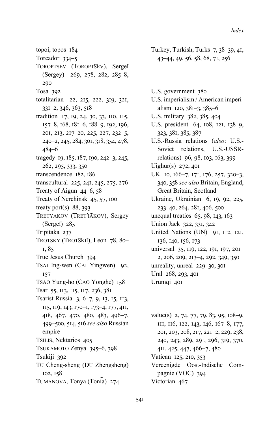- topoi, topos 184
- Toreador 334-5
- TOROPTSEV (TOROPTSEV), Sergeĭ (Sergey) 269, 278, 282, 285-8, 290
- Tosa 392
- totalitarian 22, 215, 222, 319, 321,  $33I-2, 346, 363, 518$
- tradition 17, 19, 24, 30, 33, 110, 115, 157-8, 168, 181-6, 188-9, 192, 196, 201, 213, 217-20, 225, 227, 232-5, 240-2, 245, 284, 301, 318, 354, 478,  $484 - 6$
- tragedy 19, 185, 187, 190, 242-3, 245, 262, 295, 333, 350
- transcendence 182, 186
- transcultural 225, 241, 245, 275, 276
- Treaty of Aigun  $44-6$ , 58
- Treaty of Nerchinsk 45, 57, 100
- treaty port(s)  $88, 393$
- TRETYAKOV (TRET'IAKOV), Sergey (Sergei) 285
- Tripitaka 237
- TROTSKY (TROTSKII), Leon 78, 80-I, 85
- True Jesus Church 394
- TSAI Ing-wen (CAI Yingwen) 92, 157
- TSAO Yung-ho (CAO Yonghe) 158 Tsar 55, 113, 115, 117, 236, 381
- 
- Tsarist Russia 3, 6–7, 9, 13, 15, 113, 115, 119, 143, 170-1, 173-4, 177, 411, 418, 467, 470, 480, 483, 496-7, 499-500, 514, 516 see also Russian empire TSILIS, Nektarios 405 TSUKAMOTO Zenya 395-6, 398 Tsukiji 392 Tu Cheng-sheng (Du Zhengsheng) 102, 158
- TUMANOVA, Tonya (Tonia) 274
- Turkey, Turkish, Turks 7, 38-39, 41, 43-44, 49, 56, 58, 68, 71, 256
- U.S. government 380
- U.S. imperialism / American imperialism  $120, 381-3, 385-6$
- U.S. military 382, 385, 404
- U.S. president 64, 108, 121, 138-9, 323, 381, 385, 387
- U.S.-Russia relations (also: U.S.-Soviet relations. U.S.-USSRrelations) 96, 98, 103, 163, 399
- Uighur(s)  $272,401$
- UK 10, 166-7, 171, 176, 257, 320-3, 340, 358 see also Britain, England, Great Britain, Scotland
- Ukraine, Ukrainian 6, 19, 92, 225, 233-40, 264, 281, 406, 500
- unequal treaties 65, 98, 143, 163
- Union Jack 322, 331, 342
- United Nations (UN) 91, 112, 121, 136, 140, 156, 173
- universal 35, 119, 122, 191, 197, 201-2, 206, 209, 213-4, 292, 349, 350 unreality, unreal 229-30, 301 Ural 268, 293, 401 Urumqi 401
- value(s) 2, 74, 77, 79, 83, 95, 108-9, 111, 116, 122, 143, 146, 167-8, 177, 201, 203, 208, 217, 221-2, 229, 238, 240, 243, 289, 291, 296, 319, 370, 4II, 425, 447, 466-7, 480 Vatican 125, 210, 353 Vereenigde Oost-Indische Compagnie (VOC) 394
- Victorian 467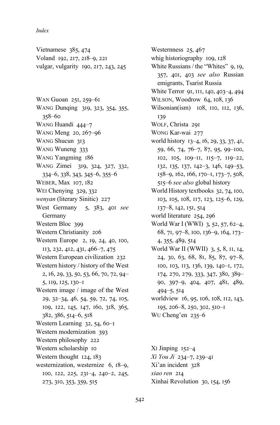Vietnamese 385, 474 Voland 192, 217, 218-9, 221 vulgar, vulgarity 190, 217, 243, 245

WAN Guoan 251, 259-61 WANG Dunqing 319, 323, 354, 355,  $358 - 60$ WANG Huandi 444-7 WANG Meng 20, 267-96 WANG Shucun 313 WANG Wuneng 333 WANG Yangming 186 WANG Zimei 319, 324, 327, 332,  $334-6, 338, 343, 345-6, 355-6$ WEBER, Max 107, 182 WEI Chenying 329, 332 wenyan (literary Sinitic) 227 West Germany 5, 383, 401 see Germany Western Bloc 399 Western Christianity 206 Western Europe 2, 19, 24, 40, 100, 113, 232, 412, 431, 466-7, 475 Western European civilization 232 Western history / history of the West 2, 16, 29, 33, 50, 53, 66, 70, 72, 94-5, 119, 125, 130-1 Western image / image of the West 29, 32-34, 46, 54, 59, 72, 74, 105, 109, 122, 145, 147, 160, 318, 365, 382, 386, 514-6, 518 Western Learning 32, 54, 60-I Western modernization 393 Western philosophy 222 Western scholarship 10 Western thought 124, 183 westernization, westernize 6, 18-9, 100, 122, 225, 231-4, 240-2, 245, 273, 310, 353, 359, 515

Westernness 25, 467 whig historiography 109, 128 White Russians / the "Whites" 9, 19, 357, 401, 403 see also Russian emigrants, Tsarist Russia White Terror 91, III, 140, 403-4, 494 WILSON, Woodrow 64, 108, 136 Wilsonian(ism) 108, 110, 112, 136, 139 WOLF, Christa 29I WONG Kar-wai 277 world history 13-4, 16, 29, 33, 37, 41, 59, 66, 74, 76-7, 87, 95, 99-100,  $102, 105, 109-11, 115-7, 119-22,$ 132, 135, 137, 142-3, 146, 149-53, 158-9, 162, 166, 170-1, 173-7, 508, 515–6 see also global history World History textbooks 32, 74, 100, 103, 105, 108, 117, 123, 125-6, 129, 137-8, 142, 151, 514 world literature 254, 296 World War I (WWI) 3, 52, 57, 62-4, 68, 71, 97-8, 100, 136-9, 164, 173-4, 355, 489, 514 World War II (WWII) 3, 5, 8, 11, 14, 24, 30, 63, 68, 81, 85, 87, 97-8, 100, 103, 113, 136, 139, 140-1, 172, 174, 270, 279, 333, 347, 380, 389-90, 397-9, 404, 407, 481, 489,  $494 - 5,514$ worldview 16, 95, 106, 108, 112, 143, 195, 206-8, 250, 302, 510-1 WU Cheng'en 235-6

 $Xi$  Jinping  $152-4$ Xi You Ji 234-7, 239-41 Xi'an incident 328 xiao ren 214 Xinhai Revolution 30, 154, 156